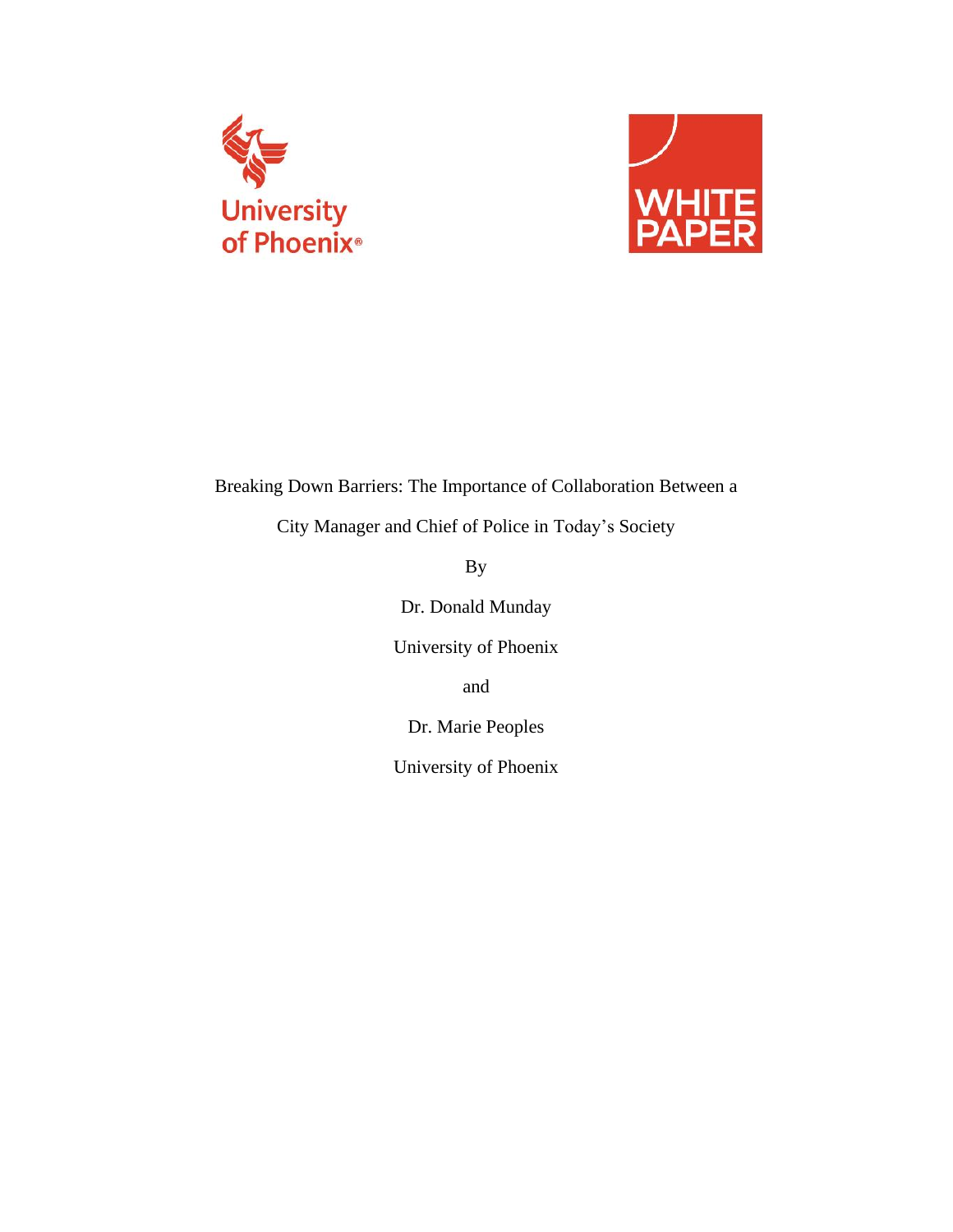



# Breaking Down Barriers: The Importance of Collaboration Between a

City Manager and Chief of Police in Today's Society

By

Dr. Donald Munday

University of Phoenix

and

Dr. Marie Peoples

University of Phoenix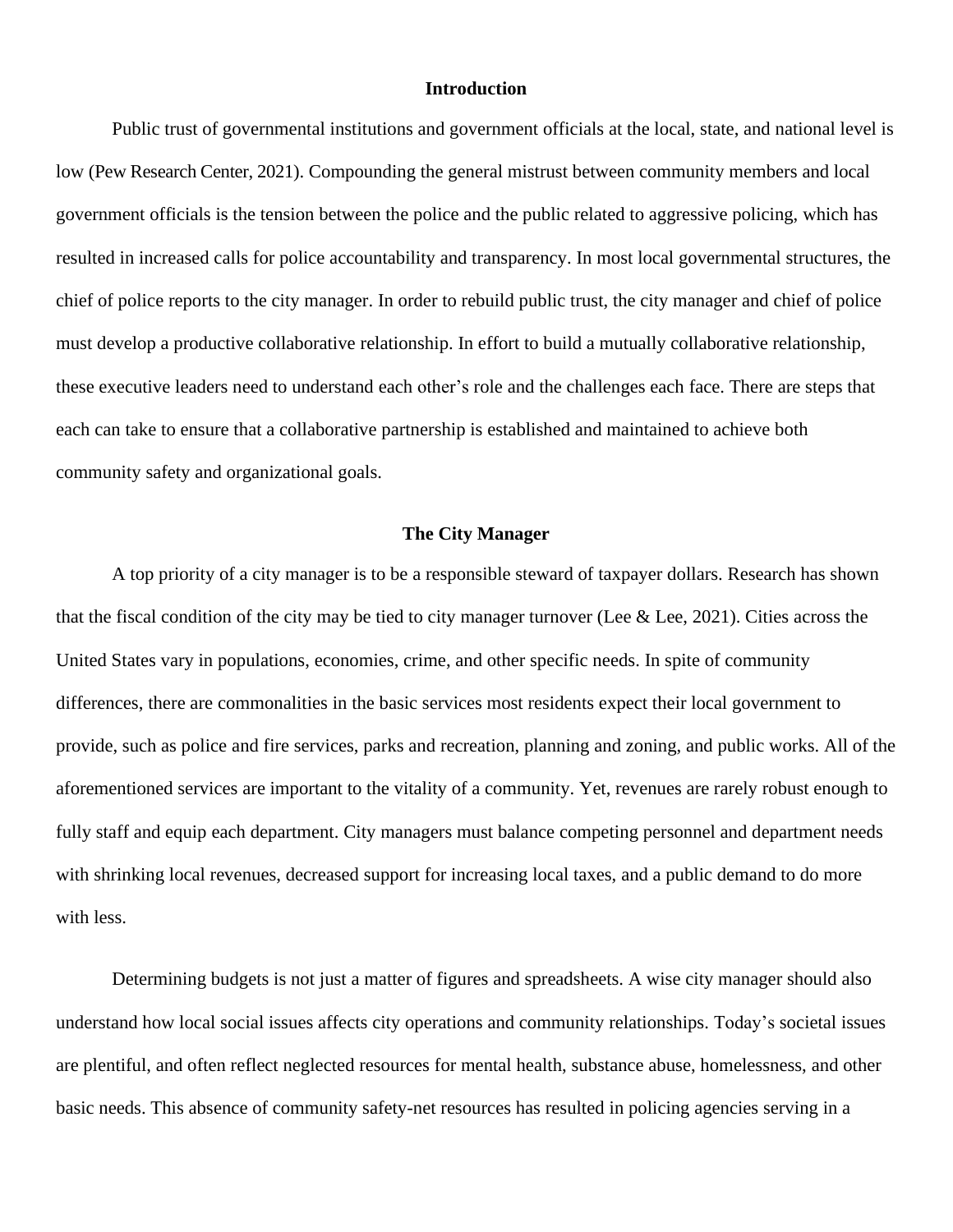#### **Introduction**

Public trust of governmental institutions and government officials at the local, state, and national level is low (Pew Research Center, 2021). Compounding the general mistrust between community members and local government officials is the tension between the police and the public related to aggressive policing, which has resulted in increased calls for police accountability and transparency. In most local governmental structures, the chief of police reports to the city manager. In order to rebuild public trust, the city manager and chief of police must develop a productive collaborative relationship. In effort to build a mutually collaborative relationship, these executive leaders need to understand each other's role and the challenges each face. There are steps that each can take to ensure that a collaborative partnership is established and maintained to achieve both community safety and organizational goals.

### **The City Manager**

A top priority of a city manager is to be a responsible steward of taxpayer dollars. Research has shown that the fiscal condition of the city may be tied to city manager turnover (Lee  $\&$  Lee, 2021). Cities across the United States vary in populations, economies, crime, and other specific needs. In spite of community differences, there are commonalities in the basic services most residents expect their local government to provide, such as police and fire services, parks and recreation, planning and zoning, and public works. All of the aforementioned services are important to the vitality of a community. Yet, revenues are rarely robust enough to fully staff and equip each department. City managers must balance competing personnel and department needs with shrinking local revenues, decreased support for increasing local taxes, and a public demand to do more with less.

Determining budgets is not just a matter of figures and spreadsheets. A wise city manager should also understand how local social issues affects city operations and community relationships. Today's societal issues are plentiful, and often reflect neglected resources for mental health, substance abuse, homelessness, and other basic needs. This absence of community safety-net resources has resulted in policing agencies serving in a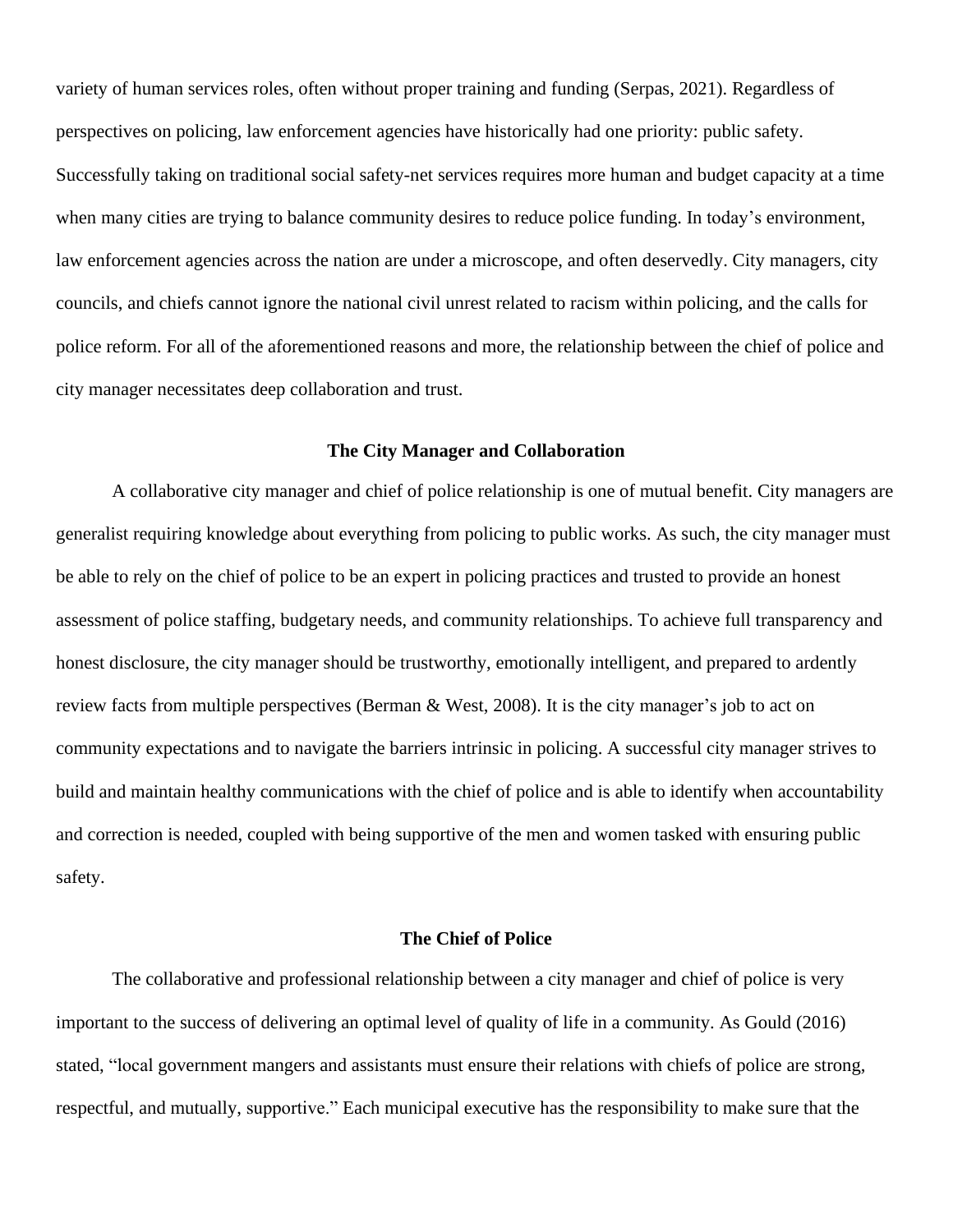variety of human services roles, often without proper training and funding (Serpas, 2021). Regardless of perspectives on policing, law enforcement agencies have historically had one priority: public safety. Successfully taking on traditional social safety-net services requires more human and budget capacity at a time when many cities are trying to balance community desires to reduce police funding. In today's environment, law enforcement agencies across the nation are under a microscope, and often deservedly. City managers, city councils, and chiefs cannot ignore the national civil unrest related to racism within policing, and the calls for police reform. For all of the aforementioned reasons and more, the relationship between the chief of police and city manager necessitates deep collaboration and trust.

#### **The City Manager and Collaboration**

A collaborative city manager and chief of police relationship is one of mutual benefit. City managers are generalist requiring knowledge about everything from policing to public works. As such, the city manager must be able to rely on the chief of police to be an expert in policing practices and trusted to provide an honest assessment of police staffing, budgetary needs, and community relationships. To achieve full transparency and honest disclosure, the city manager should be trustworthy, emotionally intelligent, and prepared to ardently review facts from multiple perspectives (Berman & West, 2008). It is the city manager's job to act on community expectations and to navigate the barriers intrinsic in policing. A successful city manager strives to build and maintain healthy communications with the chief of police and is able to identify when accountability and correction is needed, coupled with being supportive of the men and women tasked with ensuring public safety.

#### **The Chief of Police**

The collaborative and professional relationship between a city manager and chief of police is very important to the success of delivering an optimal level of quality of life in a community. As Gould (2016) stated, "local government mangers and assistants must ensure their relations with chiefs of police are strong, respectful, and mutually, supportive." Each municipal executive has the responsibility to make sure that the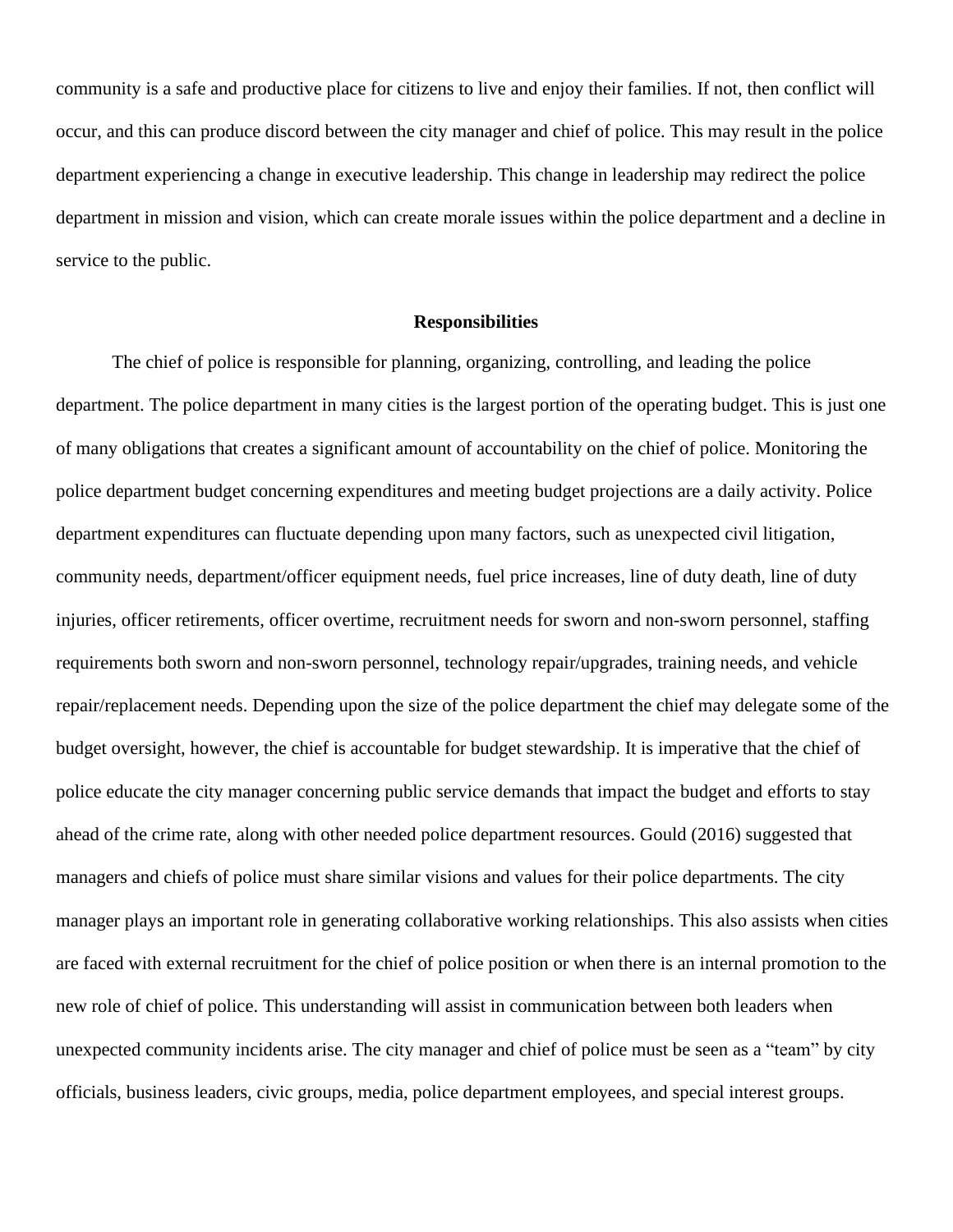community is a safe and productive place for citizens to live and enjoy their families. If not, then conflict will occur, and this can produce discord between the city manager and chief of police. This may result in the police department experiencing a change in executive leadership. This change in leadership may redirect the police department in mission and vision, which can create morale issues within the police department and a decline in service to the public.

#### **Responsibilities**

The chief of police is responsible for planning, organizing, controlling, and leading the police department. The police department in many cities is the largest portion of the operating budget. This is just one of many obligations that creates a significant amount of accountability on the chief of police. Monitoring the police department budget concerning expenditures and meeting budget projections are a daily activity. Police department expenditures can fluctuate depending upon many factors, such as unexpected civil litigation, community needs, department/officer equipment needs, fuel price increases, line of duty death, line of duty injuries, officer retirements, officer overtime, recruitment needs for sworn and non-sworn personnel, staffing requirements both sworn and non-sworn personnel, technology repair/upgrades, training needs, and vehicle repair/replacement needs. Depending upon the size of the police department the chief may delegate some of the budget oversight, however, the chief is accountable for budget stewardship. It is imperative that the chief of police educate the city manager concerning public service demands that impact the budget and efforts to stay ahead of the crime rate, along with other needed police department resources. Gould (2016) suggested that managers and chiefs of police must share similar visions and values for their police departments. The city manager plays an important role in generating collaborative working relationships. This also assists when cities are faced with external recruitment for the chief of police position or when there is an internal promotion to the new role of chief of police. This understanding will assist in communication between both leaders when unexpected community incidents arise. The city manager and chief of police must be seen as a "team" by city officials, business leaders, civic groups, media, police department employees, and special interest groups.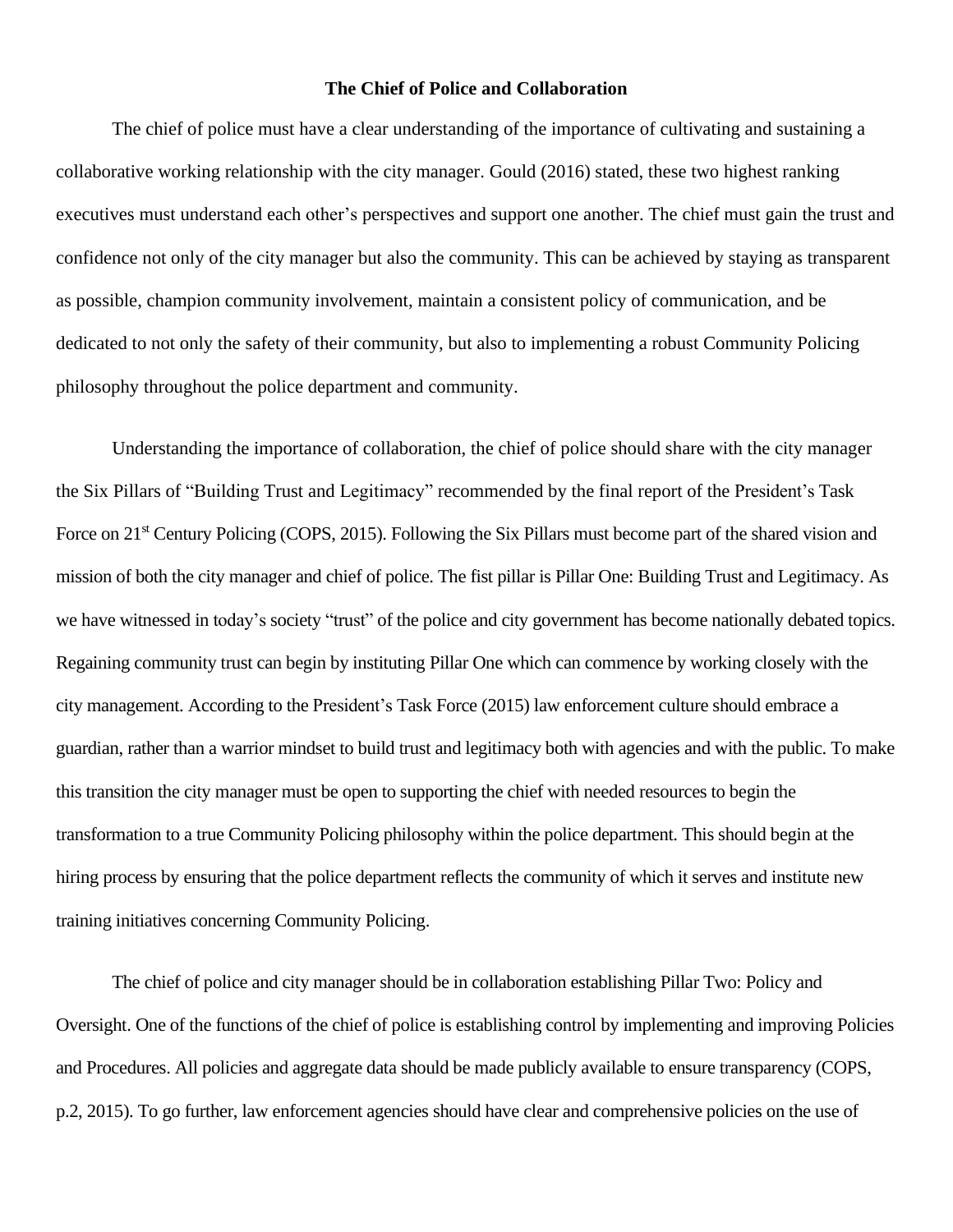### **The Chief of Police and Collaboration**

The chief of police must have a clear understanding of the importance of cultivating and sustaining a collaborative working relationship with the city manager. Gould (2016) stated, these two highest ranking executives must understand each other's perspectives and support one another. The chief must gain the trust and confidence not only of the city manager but also the community. This can be achieved by staying as transparent as possible, champion community involvement, maintain a consistent policy of communication, and be dedicated to not only the safety of their community, but also to implementing a robust Community Policing philosophy throughout the police department and community.

Understanding the importance of collaboration, the chief of police should share with the city manager the Six Pillars of "Building Trust and Legitimacy" recommended by the final report of the President's Task Force on 21<sup>st</sup> Century Policing (COPS, 2015). Following the Six Pillars must become part of the shared vision and mission of both the city manager and chief of police. The fist pillar is Pillar One: Building Trust and Legitimacy. As we have witnessed in today's society "trust" of the police and city government has become nationally debated topics. Regaining community trust can begin by instituting Pillar One which can commence by working closely with the city management. According to the President's Task Force (2015) law enforcement culture should embrace a guardian, rather than a warrior mindset to build trust and legitimacy both with agencies and with the public. To make this transition the city manager must be open to supporting the chief with needed resources to begin the transformation to a true Community Policing philosophy within the police department. This should begin at the hiring process by ensuring that the police department reflects the community of which it serves and institute new training initiatives concerning Community Policing.

The chief of police and city manager should be in collaboration establishing Pillar Two: Policy and Oversight. One of the functions of the chief of police is establishing control by implementing and improving Policies and Procedures. All policies and aggregate data should be made publicly available to ensure transparency (COPS, p.2, 2015). To go further, law enforcement agencies should have clear and comprehensive policies on the use of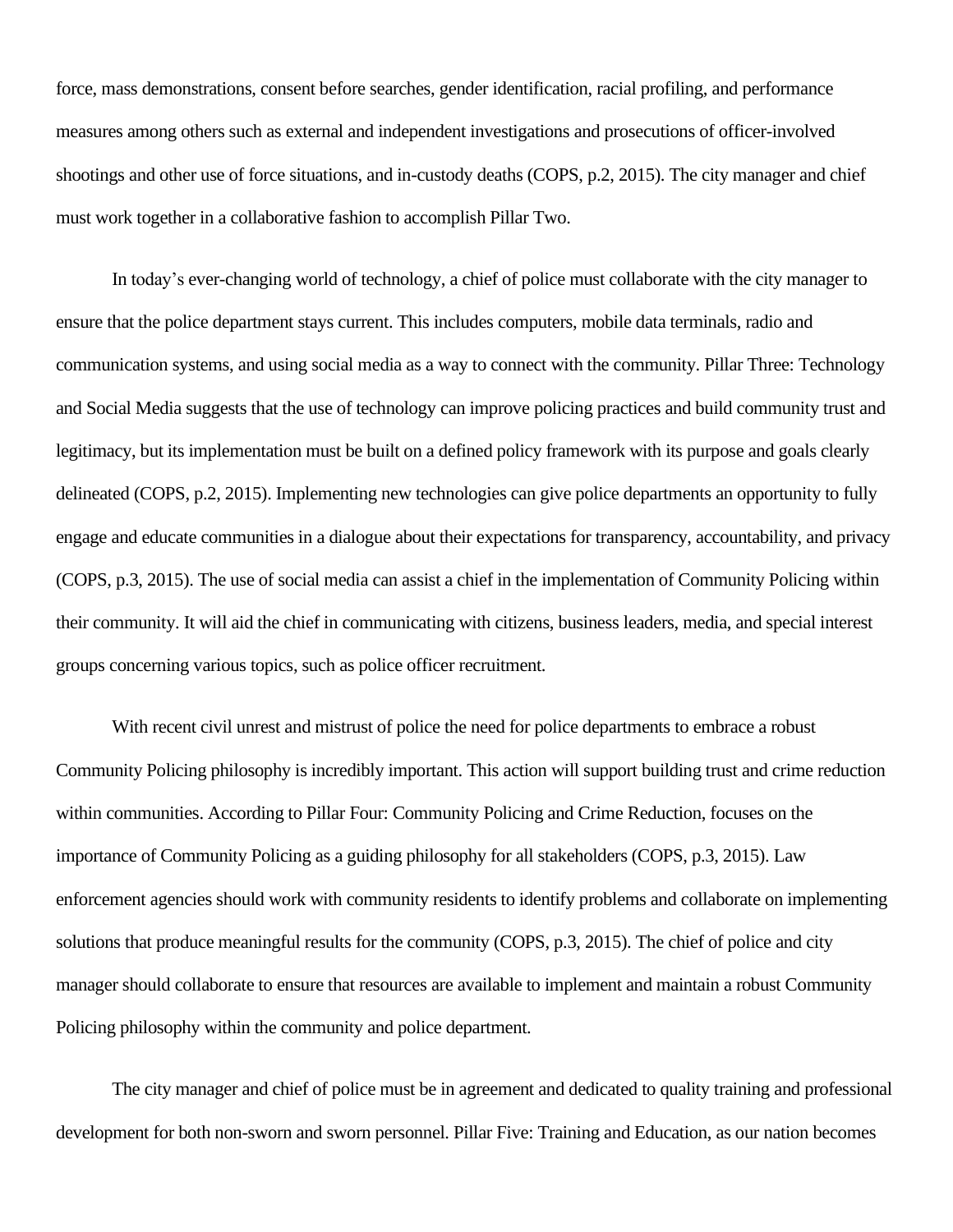force, mass demonstrations, consent before searches, gender identification, racial profiling, and performance measures among others such as external and independent investigations and prosecutions of officer-involved shootings and other use of force situations, and in-custody deaths (COPS, p.2, 2015). The city manager and chief must work together in a collaborative fashion to accomplish Pillar Two.

In today's ever-changing world of technology, a chief of police must collaborate with the city manager to ensure that the police department stays current. This includes computers, mobile data terminals, radio and communication systems, and using social media as a way to connect with the community. Pillar Three: Technology and Social Media suggests that the use of technology can improve policing practices and build community trust and legitimacy, but its implementation must be built on a defined policy framework with its purpose and goals clearly delineated (COPS, p.2, 2015). Implementing new technologies can give police departments an opportunity to fully engage and educate communities in a dialogue about their expectations for transparency, accountability, and privacy (COPS, p.3, 2015). The use of social media can assist a chief in the implementation of Community Policing within their community. It will aid the chief in communicating with citizens, business leaders, media, and special interest groups concerning various topics, such as police officer recruitment.

With recent civil unrest and mistrust of police the need for police departments to embrace a robust Community Policing philosophy is incredibly important. This action will support building trust and crime reduction within communities. According to Pillar Four: Community Policing and Crime Reduction, focuses on the importance of Community Policing as a guiding philosophy for all stakeholders (COPS, p.3, 2015). Law enforcement agencies should work with community residents to identify problems and collaborate on implementing solutions that produce meaningful results for the community (COPS, p.3, 2015). The chief of police and city manager should collaborate to ensure that resources are available to implement and maintain a robust Community Policing philosophy within the community and police department.

The city manager and chief of police must be in agreement and dedicated to quality training and professional development for both non-sworn and sworn personnel. Pillar Five: Training and Education, as our nation becomes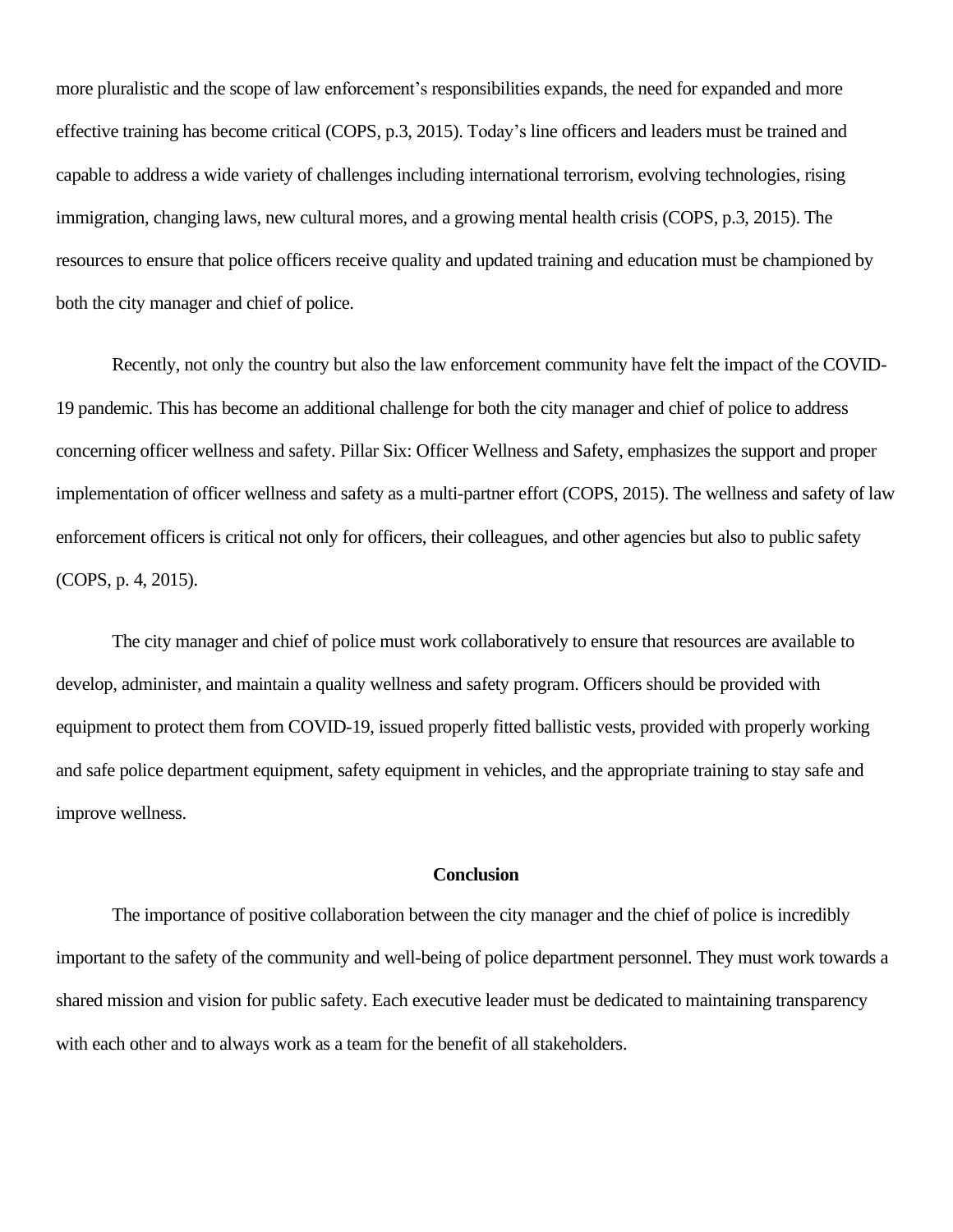more pluralistic and the scope of law enforcement's responsibilities expands, the need for expanded and more effective training has become critical (COPS, p.3, 2015). Today's line officers and leaders must be trained and capable to address a wide variety of challenges including international terrorism, evolving technologies, rising immigration, changing laws, new cultural mores, and a growing mental health crisis (COPS, p.3, 2015). The resources to ensure that police officers receive quality and updated training and education must be championed by both the city manager and chief of police.

Recently, not only the country but also the law enforcement community have felt the impact of the COVID-19 pandemic. This has become an additional challenge for both the city manager and chief of police to address concerning officer wellness and safety. Pillar Six: Officer Wellness and Safety, emphasizes the support and proper implementation of officer wellness and safety as a multi-partner effort (COPS, 2015). The wellness and safety of law enforcement officers is critical not only for officers, their colleagues, and other agencies but also to public safety (COPS, p. 4, 2015).

The city manager and chief of police must work collaboratively to ensure that resources are available to develop, administer, and maintain a quality wellness and safety program. Officers should be provided with equipment to protect them from COVID-19, issued properly fitted ballistic vests, provided with properly working and safe police department equipment, safety equipment in vehicles, and the appropriate training to stay safe and improve wellness.

### **Conclusion**

The importance of positive collaboration between the city manager and the chief of police is incredibly important to the safety of the community and well-being of police department personnel. They must work towards a shared mission and vision for public safety. Each executive leader must be dedicated to maintaining transparency with each other and to always work as a team for the benefit of all stakeholders.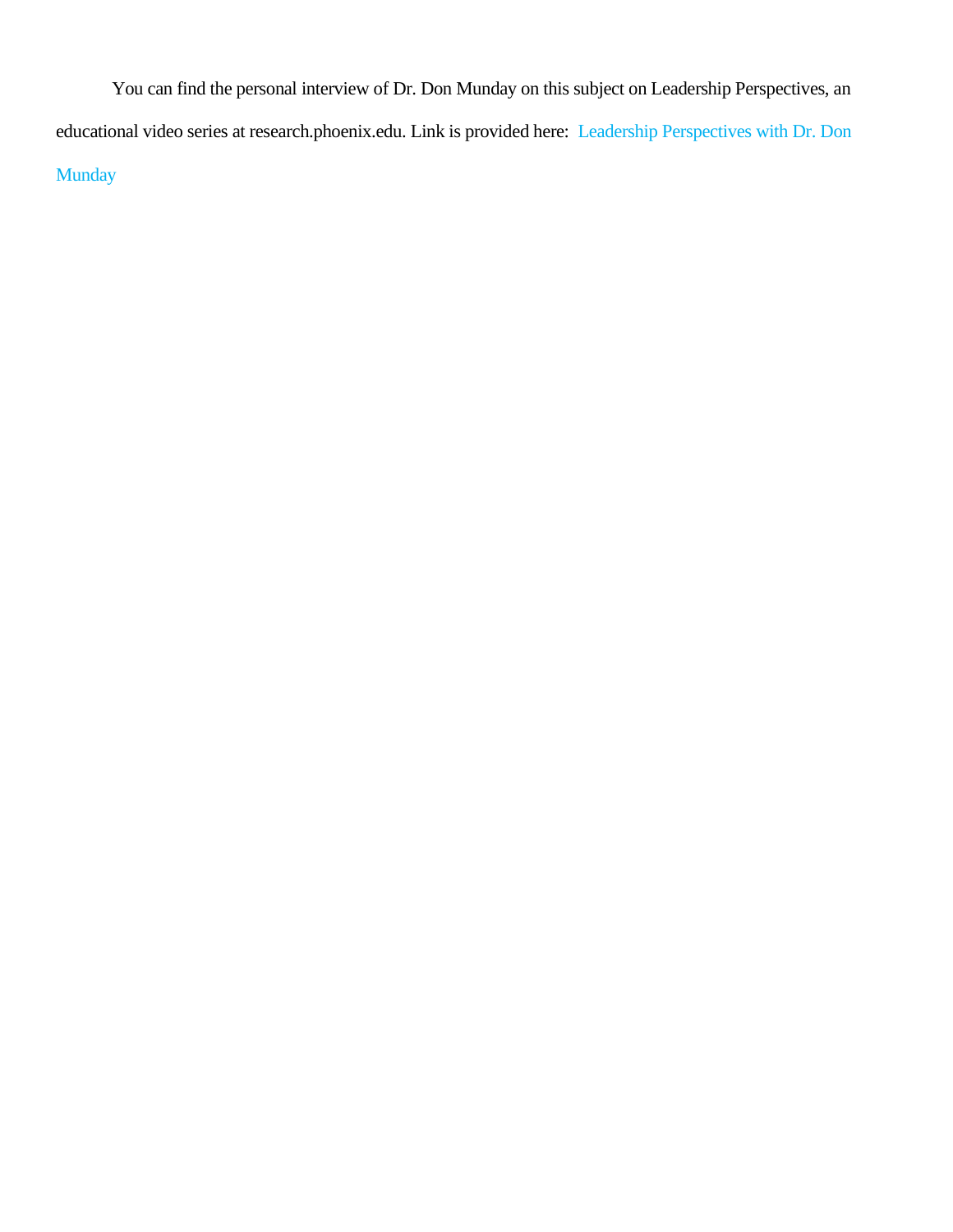You can find the personal interview of Dr. Don Munday on this subject on Leadership Perspectives, an educational video series at research.phoenix.edu. Link is provided here: Leadership [Perspectives](https://research.phoenix.edu/content/center-leadership-studies-organizational-research/leadership-perspectives) with Dr. Don [Munday](https://research.phoenix.edu/content/center-leadership-studies-organizational-research/leadership-perspectives)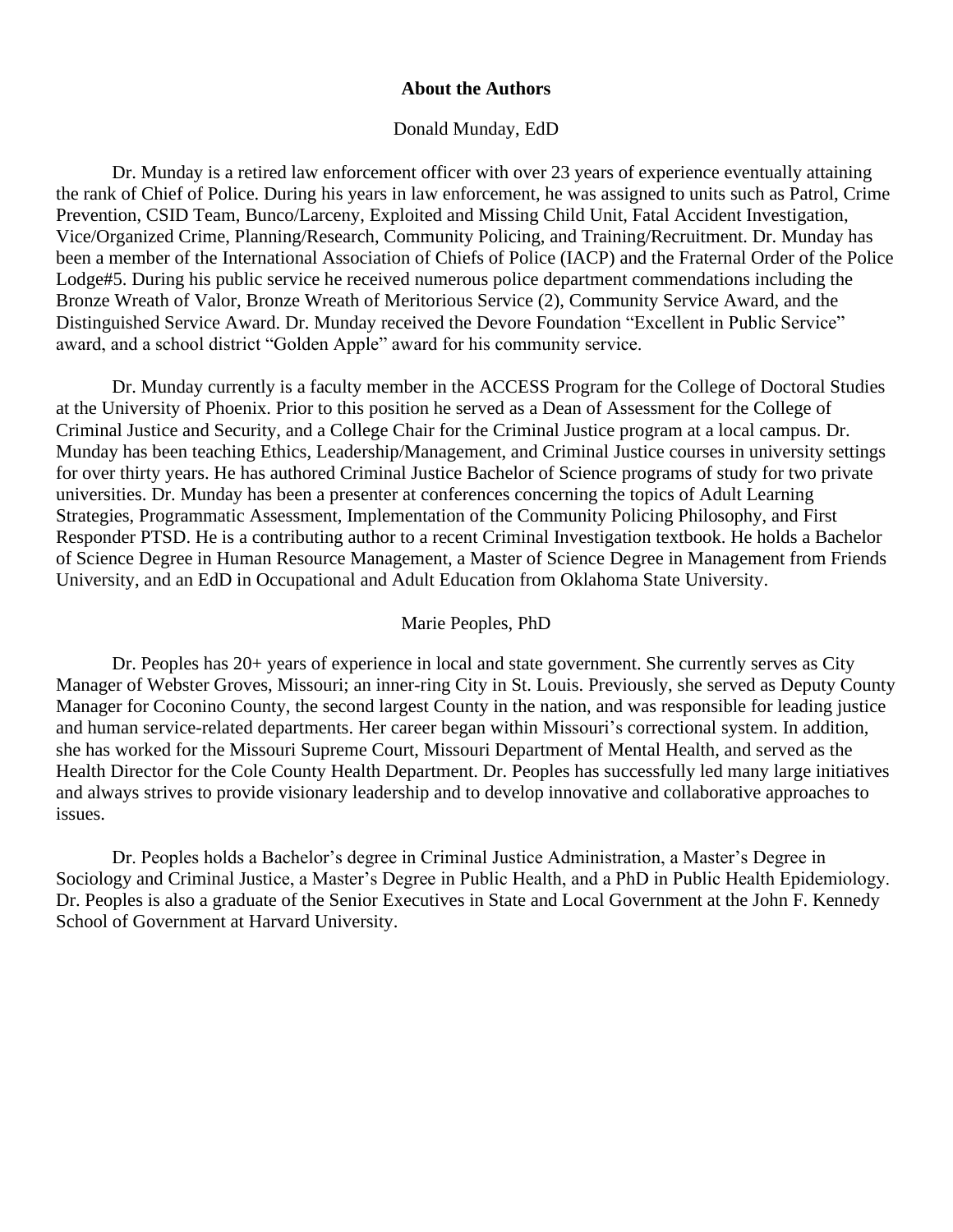## **About the Authors**

### Donald Munday, EdD

Dr. Munday is a retired law enforcement officer with over 23 years of experience eventually attaining the rank of Chief of Police. During his years in law enforcement, he was assigned to units such as Patrol, Crime Prevention, CSID Team, Bunco/Larceny, Exploited and Missing Child Unit, Fatal Accident Investigation, Vice/Organized Crime, Planning/Research, Community Policing, and Training/Recruitment. Dr. Munday has been a member of the International Association of Chiefs of Police (IACP) and the Fraternal Order of the Police Lodge#5. During his public service he received numerous police department commendations including the Bronze Wreath of Valor, Bronze Wreath of Meritorious Service (2), Community Service Award, and the Distinguished Service Award. Dr. Munday received the Devore Foundation "Excellent in Public Service" award, and a school district "Golden Apple" award for his community service.

Dr. Munday currently is a faculty member in the ACCESS Program for the College of Doctoral Studies at the University of Phoenix. Prior to this position he served as a Dean of Assessment for the College of Criminal Justice and Security, and a College Chair for the Criminal Justice program at a local campus. Dr. Munday has been teaching Ethics, Leadership/Management, and Criminal Justice courses in university settings for over thirty years. He has authored Criminal Justice Bachelor of Science programs of study for two private universities. Dr. Munday has been a presenter at conferences concerning the topics of Adult Learning Strategies, Programmatic Assessment, Implementation of the Community Policing Philosophy, and First Responder PTSD. He is a contributing author to a recent Criminal Investigation textbook. He holds a Bachelor of Science Degree in Human Resource Management, a Master of Science Degree in Management from Friends University, and an EdD in Occupational and Adult Education from Oklahoma State University.

#### Marie Peoples, PhD

Dr. Peoples has 20+ years of experience in local and state government. She currently serves as City Manager of Webster Groves, Missouri; an inner-ring City in St. Louis. Previously, she served as Deputy County Manager for Coconino County, the second largest County in the nation, and was responsible for leading justice and human service-related departments. Her career began within Missouri's correctional system. In addition, she has worked for the Missouri Supreme Court, Missouri Department of Mental Health, and served as the Health Director for the Cole County Health Department. Dr. Peoples has successfully led many large initiatives and always strives to provide visionary leadership and to develop innovative and collaborative approaches to issues.

Dr. Peoples holds a Bachelor's degree in Criminal Justice Administration, a Master's Degree in Sociology and Criminal Justice, a Master's Degree in Public Health, and a PhD in Public Health Epidemiology. Dr. Peoples is also a graduate of the Senior Executives in State and Local Government at the John F. Kennedy School of Government at Harvard University.